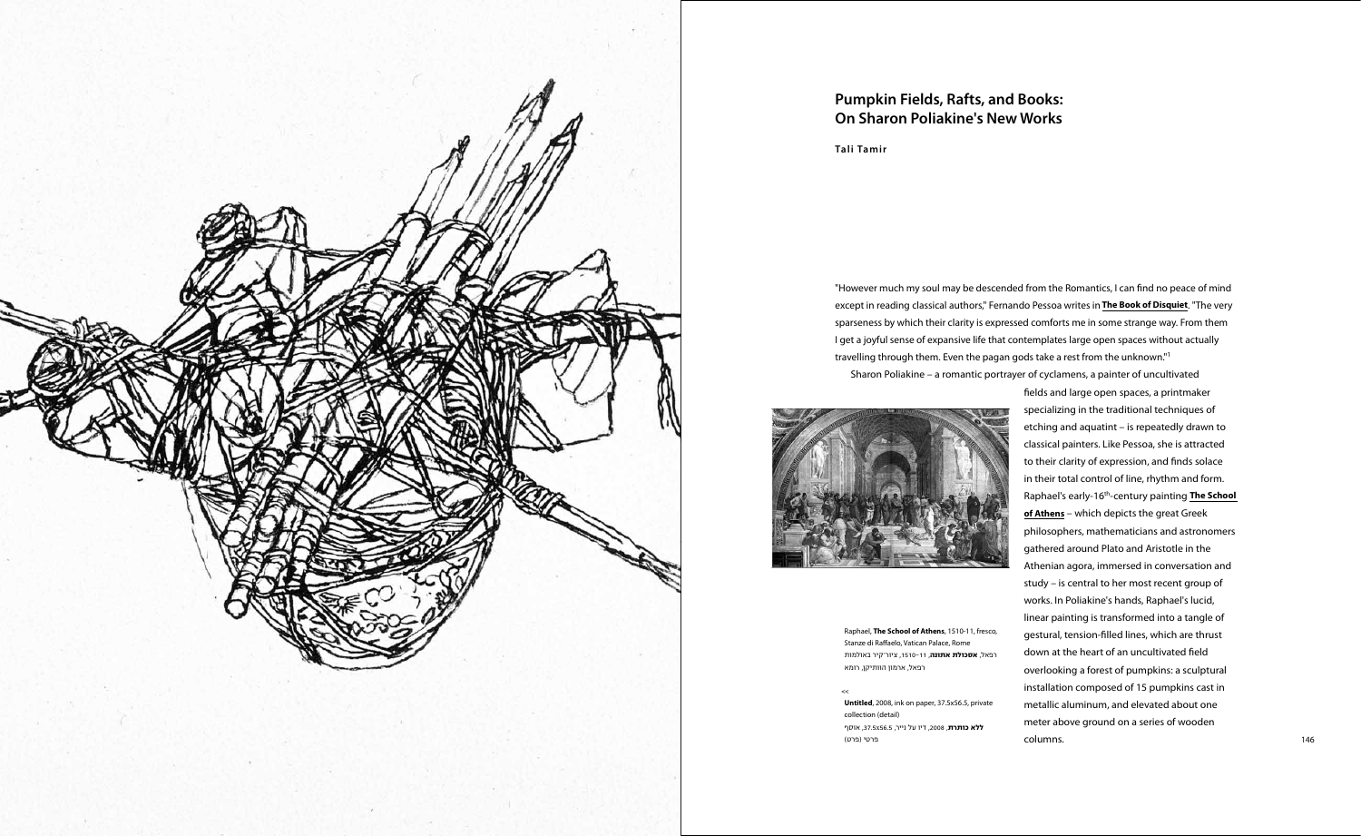

"However much my soul may be descended from the Romantics, I can fnd no peace of mind except in reading classical authors," Fernando Pessoa writes in **The Book of Disquiet**. "The very sparseness by which their clarity is expressed comforts me in some strange way. From them I get a joyful sense of expansive life that contemplates large open spaces without actually travelling through them. Even the pagan gods take a rest from the unknown." 1 Sharon Poliakine – a romantic portrayer of cyclamens, a painter of uncultivated



 $\prec$ **Untitled**, 2008, ink on paper, 37.5x56.5, private collection (detail) **ללא כותרת**, 2008, דיו על נייר, 37.5x56.5, אוסף פרטי (פרט)

specializing in the traditional techniques of etching and aquatint – is repeatedly drawn to classical painters. Like Pessoa, she is attracted to their clarity of expression, and fnds solace in their total control of line, rhythm and form. Raphael's early-16th-century painting **The School of Athens** – which depicts the great Greek philosophers, mathematicians and astronomers gathered around Plato and Aristotle in the Athenian agora, immersed in conversation and study – is central to her most recent group of works. In Poliakine's hands, Raphael's lucid, linear painting is transformed into a tangle of gestural, tension-flled lines, which are thrust down at the heart of an uncultivated feld overlooking a forest of pumpkins: a sculptural installation composed of 15 pumpkins cast in metallic aluminum, and elevated about one meter above ground on a series of wooden columns.

# **Pumpkin Fields, Rafts, and Books: On Sharon Poliakine's New Works**

**Tali Tamir**

Raphael, **The School of Athens**, 1510-11, fresco, Stanze di Ra faelo, Vatican Palace, Rome קיר באולמות רפאל, **אסכולת אתונה**, ,1510-11 ציור– רפאל, ארמון הוותיקן, רומא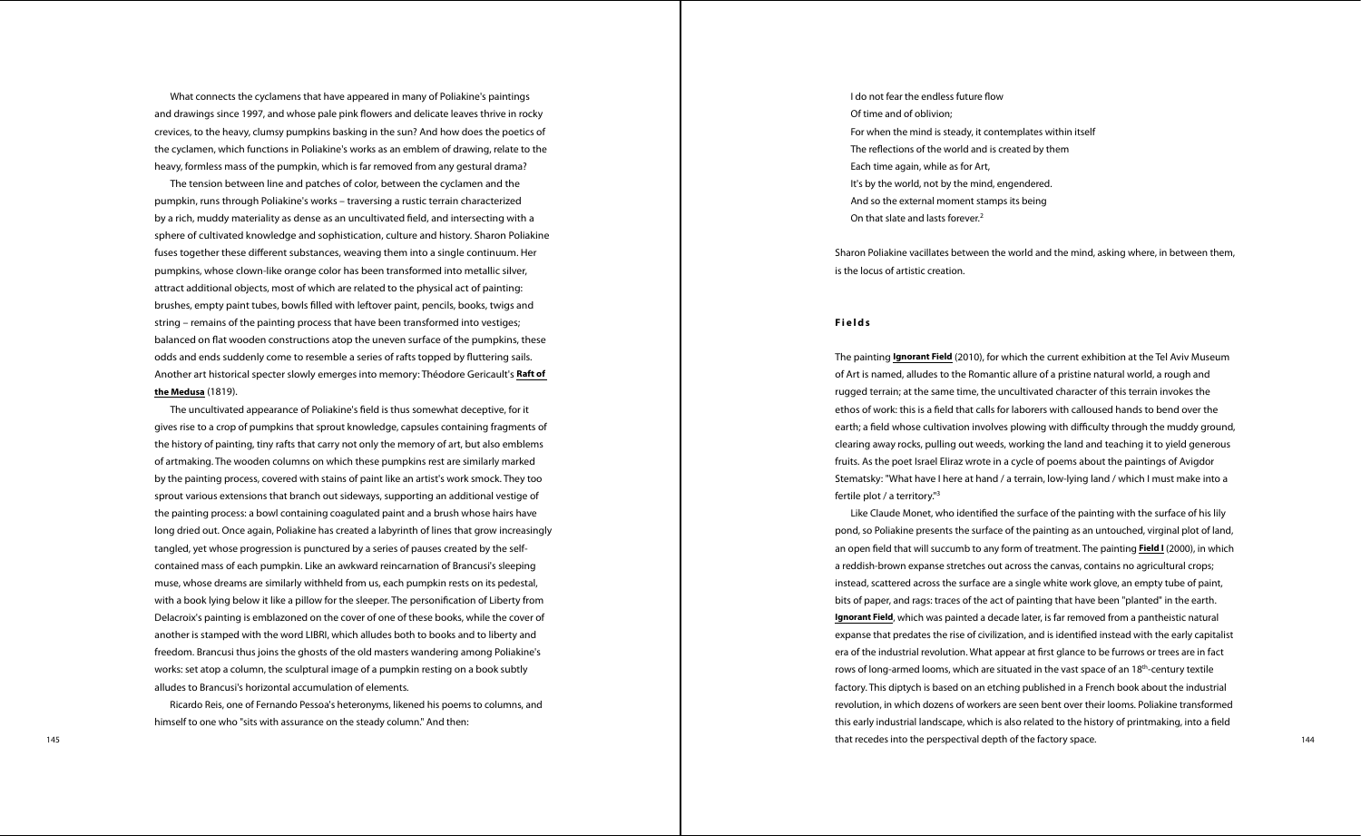What connects the cyclamens that have appeared in many of Poliakine's paintings and drawings since 1997, and whose pale pink fowers and delicate leaves thrive in rocky crevices, to the heavy, clumsy pumpkins basking in the sun? And how does the poetics of the cyclamen, which functions in Poliakine's works as an emblem of drawing, relate to the heavy, formless mass of the pumpkin, which is far removed from any gestural drama?

The tension between line and patches of color, between the cyclamen and the pumpkin, runs through Poliakine's works – traversing a rustic terrain characterized by a rich, muddy materiality as dense as an uncultivated feld, and intersecting with a sphere of cultivated knowledge and sophistication, culture and history. Sharon Poliakine fuses together these diferent substances, weaving them into a single continuum. Her pumpkins, whose clown-like orange color has been transformed into metallic silver, attract additional objects, most of which are related to the physical act of painting: brushes, empty paint tubes, bowls flled with leftover paint, pencils, books, twigs and string – remains of the painting process that have been transformed into vestiges; balanced on fat wooden constructions atop the uneven surface of the pumpkins, these odds and ends suddenly come to resemble a series of rafts topped by futtering sails. Another art historical specter slowly emerges into memory: Théodore Gericault's **Raft of the Medusa** (1819).

The uncultivated appearance of Poliakine's feld is thus somewhat deceptive, for it gives rise to a crop of pumpkins that sprout knowledge, capsules containing fragments of the history of painting, tiny rafts that carry not only the memory of art, but also emblems of artmaking. The wooden columns on which these pumpkins rest are similarly marked by the painting process, covered with stains of paint like an artist's work smock. They too sprout various extensions that branch out sideways, supporting an additional vestige of the painting process: a bowl containing coagulated paint and a brush whose hairs have long dried out. Once again, Poliakine has created a labyrinth of lines that grow increasingly tangled, yet whose progression is punctured by a series of pauses created by the selfcontained mass of each pumpkin. Like an awkward reincarnation of Brancusi's sleeping muse, whose dreams are similarly withheld from us, each pumpkin rests on its pedestal, with a book lying below it like a pillow for the sleeper. The personifcation of Liberty from Delacroix's painting is emblazoned on the cover of one of these books, while the cover of another is stamped with the word LIBRI, which alludes both to books and to liberty and freedom. Brancusi thus joins the ghosts of the old masters wandering among Poliakine's works: set atop a column, the sculptural image of a pumpkin resting on a book subtly alludes to Brancusi's horizontal accumulation of elements.

145 144 that recedes into the perspectival depth of the factory space. Like Claude Monet, who identifed the surface of the painting with the surface of his lily pond, so Poliakine presents the surface of the painting as an untouched, virginal plot of land, an open feld that will succumb to any form of treatment. The painting **Field I** (2000), in which a reddish-brown expanse stretches out across the canvas, contains no agricultural crops; instead, scattered across the surface are a single white work glove, an empty tube of paint, bits of paper, and rags: traces of the act of painting that have been "planted" in the earth. **Ignorant Field**, which was painted a decade later, is far removed from a pantheistic natural expanse that predates the rise of civilization, and is identifed instead with the early capitalist era of the industrial revolution. What appear at frst glance to be furrows or trees are in fact rows of long-armed looms, which are situated in the vast space of an  $18<sup>th</sup>$ -century textile factory. This diptych is based on an etching published in a French book about the industrial revolution, in which dozens of workers are seen bent over their looms. Poliakine transformed this early industrial landscape, which is also related to the history of printmaking, into a feld

Ricardo Reis, one of Fernando Pessoa's heteronyms, likened his poems to columns, and himself to one who "sits with assurance on the steady column." And then:

I do not fear the endless future flow Of time and of oblivion; For when the mind is steady, it contemplates within itself The refections of the world and is created by them Each time again, while as for Art, It's by the world, not by the mind, engendered. And so the external moment stamps its being On that slate and lasts forever.<sup>2</sup>

Sharon Poliakine vacillates between the world and the mind, asking where, in between them,

is the locus of artistic creation.

## **Fields**

The painting **Ignorant Field** (2010), for which the current exhibition at the Tel Aviv Museum of Art is named, alludes to the Romantic allure of a pristine natural world, a rough and rugged terrain; at the same time, the uncultivated character of this terrain invokes the ethos of work: this is a feld that calls for laborers with calloused hands to bend over the earth; a field whose cultivation involves plowing with difficulty through the muddy ground, clearing away rocks, pulling out weeds, working the land and teaching it to yield generous fruits. As the poet Israel Eliraz wrote in a cycle of poems about the paintings of Avigdor Stematsky: "What have I here at hand / a terrain, low-lying land / which I must make into a fertile plot / a territory."3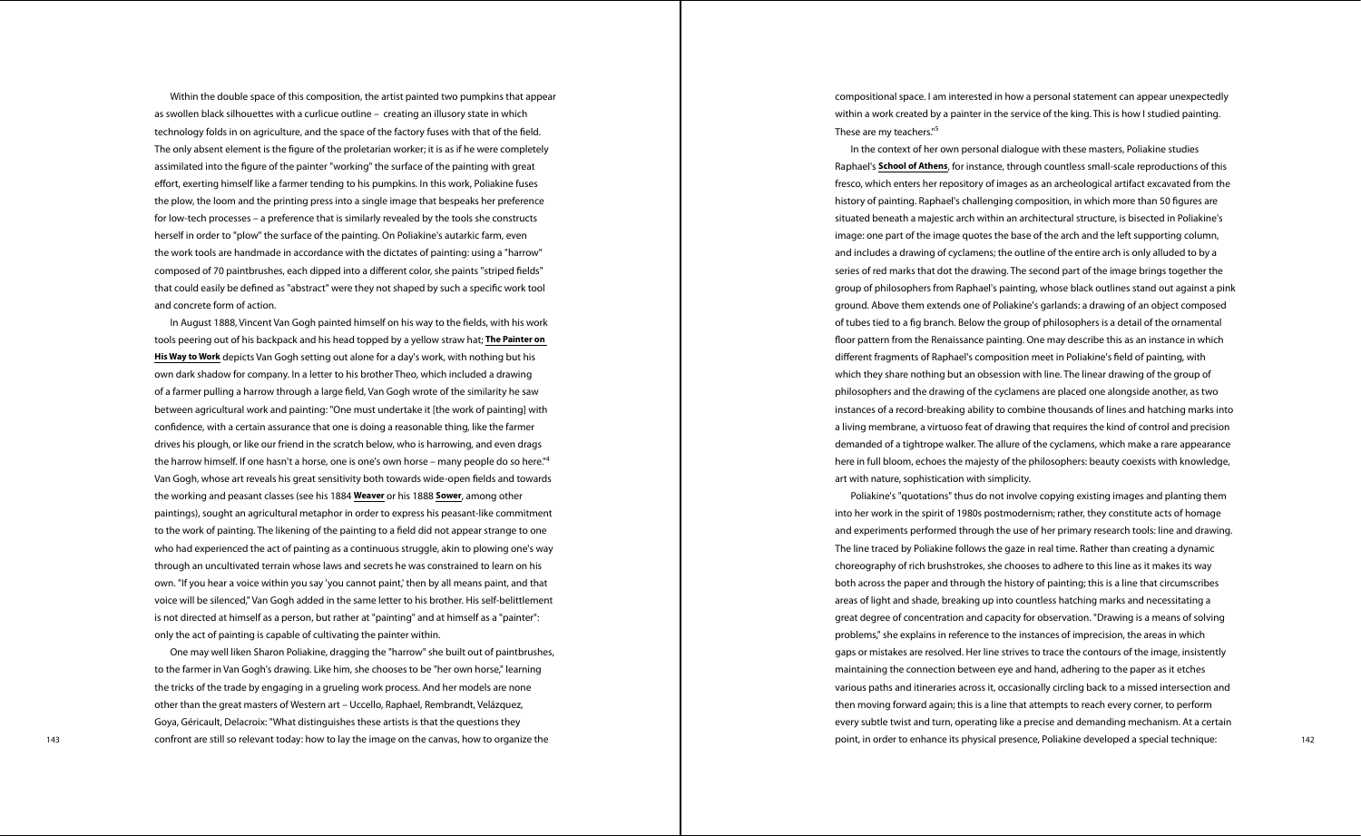Within the double space of this composition, the artist painted two pumpkins that appear as swollen black silhouettes with a curlicue outline – creating an illusory state in which technology folds in on agriculture, and the space of the factory fuses with that of the feld. The only absent element is the fgure of the proletarian worker; it is as if he were completely assimilated into the fgure of the painter "working" the surface of the painting with great efort, exerting himself like a farmer tending to his pumpkins. In this work, Poliakine fuses the plow, the loom and the printing press into a single image that bespeaks her preference for low-tech processes – a preference that is similarly revealed by the tools she constructs herself in order to "plow" the surface of the painting. On Poliakine's autarkic farm, even the work tools are handmade in accordance with the dictates of painting: using a "harrow" composed of 70 paintbrushes, each dipped into a diferent color, she paints "striped felds" that could easily be defned as "abstract" were they not shaped by such a specifc work tool and concrete form of action.

143 142 point, in order to enhance its physical presence, Poliakine developed a special technique: One may well liken Sharon Poliakine, dragging the "harrow" she built out of paintbrushes, to the farmer in Van Gogh's drawing. Like him, she chooses to be "her own horse," learning the tricks of the trade by engaging in a grueling work process. And her models are none other than the great masters of Western art – Uccello, Raphael, Rembrandt, Velázquez, Goya, Géricault, Delacroix: "What distinguishes these artists is that the questions they confront are still so relevant today: how to lay the image on the canvas, how to organize the

These are my teachers."<sup>5</sup>

In August 1888, Vincent Van Gogh painted himself on his way to the felds, with his work tools peering out of his backpack and his head topped by a yellow straw hat; **The Painter on His Way to Work** depicts Van Gogh setting out alone for a day's work, with nothing but his own dark shadow for company. In a letter to his brother Theo, which included a drawing of a farmer pulling a harrow through a large feld, Van Gogh wrote of the similarity he saw between agricultural work and painting: "One must undertake it [the work of painting] with confdence, with a certain assurance that one is doing a reasonable thing, like the farmer drives his plough, or like our friend in the scratch below, who is harrowing, and even drags the harrow himself. If one hasn't a horse, one is one's own horse – many people do so here."<sup>4</sup> Van Gogh, whose art reveals his great sensitivity both towards wide-open felds and towards the working and peasant classes (see his 1884 **Weaver** or his 1888 **Sower**, among other paintings), sought an agricultural metaphor in order to express his peasant-like commitment to the work of painting. The likening of the painting to a feld did not appear strange to one who had experienced the act of painting as a continuous struggle, akin to plowing one's way through an uncultivated terrain whose laws and secrets he was constrained to learn on his own. "If you hear a voice within you say 'you cannot paint,' then by all means paint, and that voice will be silenced," Van Gogh added in the same letter to his brother. His self-belittlement is not directed at himself as a person, but rather at "painting" and at himself as a "painter": only the act of painting is capable of cultivating the painter within.

compositional space. I am interested in how a personal statement can appear unexpectedly within a work created by a painter in the service of the king. This is how I studied painting.

In the context of her own personal dialogue with these masters, Poliakine studies Raphael's **School of Athens**, for instance, through countless small-scale reproductions of this fresco, which enters her repository of images as an archeological artifact excavated from the history of painting. Raphael's challenging composition, in which more than 50 fgures are situated beneath a majestic arch within an architectural structure, is bisected in Poliakine's image: one part of the image quotes the base of the arch and the left supporting column, and includes a drawing of cyclamens; the outline of the entire arch is only alluded to by a series of red marks that dot the drawing. The second part of the image brings together the group of philosophers from Raphael's painting, whose black outlines stand out against a pink ground. Above them extends one of Poliakine's garlands: a drawing of an object composed of tubes tied to a fg branch. Below the group of philosophers is a detail of the ornamental foor pattern from the Renaissance painting. One may describe this as an instance in which diferent fragments of Raphael's composition meet in Poliakine's feld of painting, with which they share nothing but an obsession with line. The linear drawing of the group of philosophers and the drawing of the cyclamens are placed one alongside another, as two instances of a record-breaking ability to combine thousands of lines and hatching marks into a living membrane, a virtuoso feat of drawing that requires the kind of control and precision demanded of a tightrope walker. The allure of the cyclamens, which make a rare appearance here in full bloom, echoes the majesty of the philosophers: beauty coexists with knowledge, art with nature, sophistication with simplicity.

Poliakine's "quotations" thus do not involve copying existing images and planting them into her work in the spirit of 1980s postmodernism; rather, they constitute acts of homage and experiments performed through the use of her primary research tools: line and drawing. The line traced by Poliakine follows the gaze in real time. Rather than creating a dynamic choreography of rich brushstrokes, she chooses to adhere to this line as it makes its way both across the paper and through the history of painting; this is a line that circumscribes areas of light and shade, breaking up into countless hatching marks and necessitating a great degree of concentration and capacity for observation. "Drawing is a means of solving problems," she explains in reference to the instances of imprecision, the areas in which gaps or mistakes are resolved. Her line strives to trace the contours of the image, insistently maintaining the connection between eye and hand, adhering to the paper as it etches various paths and itineraries across it, occasionally circling back to a missed intersection and then moving forward again; this is a line that attempts to reach every corner, to perform every subtle twist and turn, operating like a precise and demanding mechanism. At a certain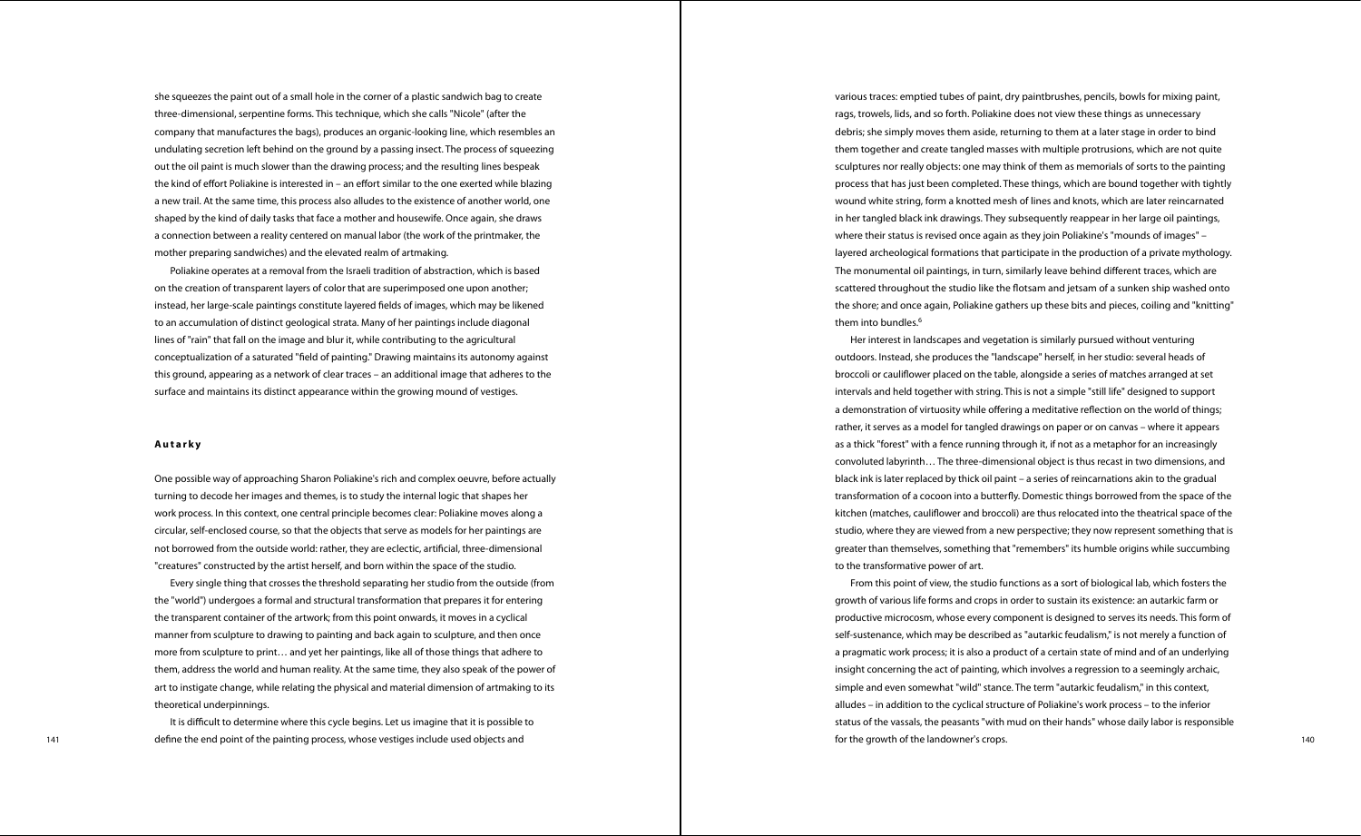she squeezes the paint out of a small hole in the corner of a plastic sandwich bag to create three-dimensional, serpentine forms. This technique, which she calls "Nicole" (after the company that manufactures the bags), produces an organic-looking line, which resembles an undulating secretion left behind on the ground by a passing insect. The process of squeezing out the oil paint is much slower than the drawing process; and the resulting lines bespeak the kind of effort Poliakine is interested in – an effort similar to the one exerted while blazing a new trail. At the same time, this process also alludes to the existence of another world, one shaped by the kind of daily tasks that face a mother and housewife. Once again, she draws a connection between a reality centered on manual labor (the work of the printmaker, the mother preparing sandwiches) and the elevated realm of artmaking.

Poliakine operates at a removal from the Israeli tradition of abstraction, which is based on the creation of transparent layers of color that are superimposed one upon another; instead, her large-scale paintings constitute layered felds of images, which may be likened to an accumulation of distinct geological strata. Many of her paintings include diagonal lines of "rain" that fall on the image and blur it, while contributing to the agricultural conceptualization of a saturated "feld of painting." Drawing maintains its autonomy against this ground, appearing as a network of clear traces – an additional image that adheres to the surface and maintains its distinct appearance within the growing mound of vestiges.

various traces: emptied tubes of paint, dry paintbrushes, pencils, bowls for mixing paint, rags, trowels, lids, and so forth. Poliakine does not view these things as unnecessary debris; she simply moves them aside, returning to them at a later stage in order to bind them together and create tangled masses with multiple protrusions, which are not quite sculptures nor really objects: one may think of them as memorials of sorts to the painting process that has just been completed. These things, which are bound together with tightly wound white string, form a knotted mesh of lines and knots, which are later reincarnated in her tangled black ink drawings. They subsequently reappear in her large oil paintings, where their status is revised once again as they join Poliakine's "mounds of images" – layered archeological formations that participate in the production of a private mythology. The monumental oil paintings, in turn, similarly leave behind diferent traces, which are scattered throughout the studio like the fotsam and jetsam of a sunken ship washed onto the shore; and once again, Poliakine gathers up these bits and pieces, coiling and "knitting" them into bundles.<sup>6</sup>

### **Autarky**

One possible way of approaching Sharon Poliakine's rich and complex oeuvre, before actually turning to decode her images and themes, is to study the internal logic that shapes her work process. In this context, one central principle becomes clear: Poliakine moves along a circular, self-enclosed course, so that the objects that serve as models for her paintings are not borrowed from the outside world: rather, they are eclectic, artifcial, three-dimensional "creatures" constructed by the artist herself, and born within the space of the studio.

Every single thing that crosses the threshold separating her studio from the outside (from the "world") undergoes a formal and structural transformation that prepares it for entering the transparent container of the artwork; from this point onwards, it moves in a cyclical manner from sculpture to drawing to painting and back again to sculpture, and then once more from sculpture to print… and yet her paintings, like all of those things that adhere to them, address the world and human reality. At the same time, they also speak of the power of art to instigate change, while relating the physical and material dimension of artmaking to its theoretical underpinnings.

It is difficult to determine where this cycle begins. Let us imagine that it is possible to

141 140 define the end point of the painting process, whose vestiges include used objects and states are and the state of the growth of the dandowner's crops. The state of the state of the state of the state of the state o From this point of view, the studio functions as a sort of biological lab, which fosters the growth of various life forms and crops in order to sustain its existence: an autarkic farm or productive microcosm, whose every component is designed to serves its needs. This form of self-sustenance, which may be described as "autarkic feudalism," is not merely a function of a pragmatic work process; it is also a product of a certain state of mind and of an underlying insight concerning the act of painting, which involves a regression to a seemingly archaic, simple and even somewhat "wild" stance. The term "autarkic feudalism," in this context, alludes – in addition to the cyclical structure of Poliakine's work process – to the inferior status of the vassals, the peasants "with mud on their hands" whose daily labor is responsible for the growth of the landowner's crops.

Her interest in landscapes and vegetation is similarly pursued without venturing outdoors. Instead, she produces the "landscape" herself, in her studio: several heads of broccoli or caulifower placed on the table, alongside a series of matches arranged at set intervals and held together with string. This is not a simple "still life" designed to support a demonstration of virtuosity while offering a meditative reflection on the world of things; rather, it serves as a model for tangled drawings on paper or on canvas – where it appears as a thick "forest" with a fence running through it, if not as a metaphor for an increasingly convoluted labyrinth… The three-dimensional object is thus recast in two dimensions, and black ink is later replaced by thick oil paint – a series of reincarnations akin to the gradual transformation of a cocoon into a butterfy. Domestic things borrowed from the space of the kitchen (matches, caulifower and broccoli) are thus relocated into the theatrical space of the studio, where they are viewed from a new perspective; they now represent something that is greater than themselves, something that "remembers" its humble origins while succumbing to the transformative power of art.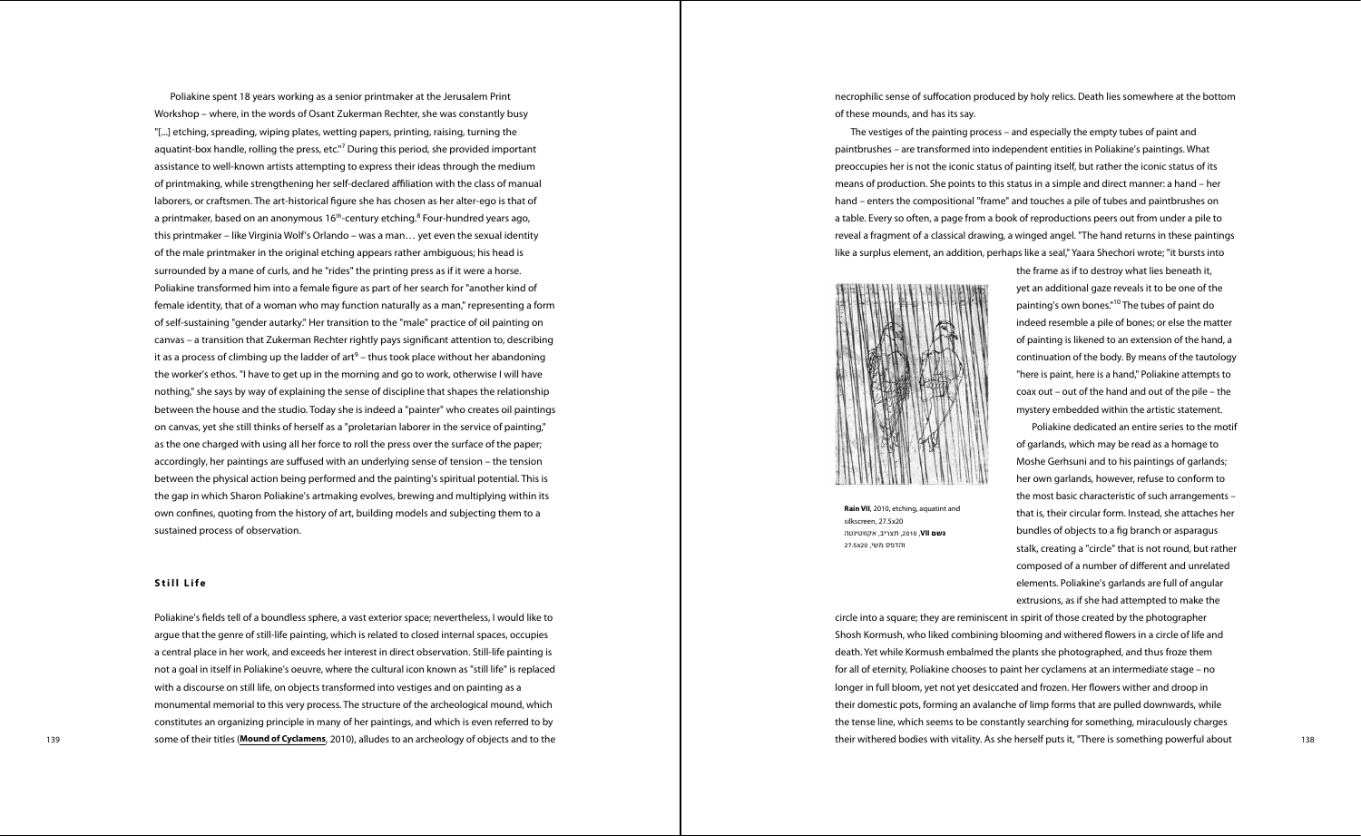Poliakine spent 18 years working as a senior printmaker at the Jerusalem Print Workshop – where, in the words of Osant Zukerman Rechter, she was constantly busy "[...] etching, spreading, wiping plates, wetting papers, printing, raising, turning the aquatint-box handle, rolling the press, etc."<sup>7</sup> During this period, she provided important assistance to well-known artists attempting to express their ideas through the medium of printmaking, while strengthening her self-declared afliation with the class of manual laborers, or craftsmen. The art-historical fgure she has chosen as her alter-ego is that of a printmaker, based on an anonymous 16<sup>th</sup>-century etching.<sup>8</sup> Four-hundred years ago, this printmaker – like Virginia Wolf's Orlando – was a man… yet even the sexual identity of the male printmaker in the original etching appears rather ambiguous; his head is surrounded by a mane of curls, and he "rides" the printing press as if it were a horse. Poliakine transformed him into a female fgure as part of her search for "another kind of female identity, that of a woman who may function naturally as a man," representing a form of self-sustaining "gender autarky." Her transition to the "male" practice of oil painting on canvas – a transition that Zukerman Rechter rightly pays signifcant attention to, describing it as a process of climbing up the ladder of art $9$  – thus took place without her abandoning the worker's ethos. "I have to get up in the morning and go to work, otherwise I will have nothing," she says by way of explaining the sense of discipline that shapes the relationship between the house and the studio. Today she is indeed a "painter" who creates oil paintings on canvas, yet she still thinks of herself as a "proletarian laborer in the service of painting," as the one charged with using all her force to roll the press over the surface of the paper; accordingly, her paintings are sufused with an underlying sense of tension – the tension between the physical action being performed and the painting's spiritual potential. This is the gap in which Sharon Poliakine's artmaking evolves, brewing and multiplying within its own confnes, quoting from the history of art, building models and subjecting them to a sustained process of observation.

139 139 139 138 **Some of their titles (Mound of Cyclamens**, 2010), alludes to an archeology of objects and to the **their some their withered bodies with vitality.** As she herself puts it, "There is something powerful about Poliakine's felds tell of a boundless sphere, a vast exterior space; nevertheless, I would like to argue that the genre of still-life painting, which is related to closed internal spaces, occupies a central place in her work, and exceeds her interest in direct observation. Still-life painting is not a goal in itself in Poliakine's oeuvre, where the cultural icon known as "still life" is replaced with a discourse on still life, on objects transformed into vestiges and on painting as a monumental memorial to this very process. The structure of the archeological mound, which constitutes an organizing principle in many of her paintings, and which is even referred to by

### **Still Life**

necrophilic sense of sufocation produced by holy relics. Death lies somewhere at the bottom



of these mounds, and has its say.

The vestiges of the painting process – and especially the empty tubes of paint and paintbrushes – are transformed into independent entities in Poliakine's paintings. What preoccupies her is not the iconic status of painting itself, but rather the iconic status of its means of production. She points to this status in a simple and direct manner: a hand – her hand – enters the compositional "frame" and touches a pile of tubes and paintbrushes on a table. Every so often, a page from a book of reproductions peers out from under a pile to reveal a fragment of a classical drawing, a winged angel. "The hand returns in these paintings like a surplus element, an addition, perhaps like a seal," Yaara Shechori wrote; "it bursts into



the frame as if to destroy what lies beneath it, yet an additional gaze reveals it to be one of the painting's own bones."10 The tubes of paint do indeed resemble a pile of bones; or else the matter of painting is likened to an extension of the hand, a continuation of the body. By means of the tautology "here is paint, here is a hand," Poliakine attempts to coax out – out of the hand and out of the pile – the mystery embedded within the artistic statement.

Poliakine dedicated an entire series to the motif of garlands, which may be read as a homage to Moshe Gerhsuni and to his paintings of garlands; her own garlands, however, refuse to conform to the most basic characteristic of such arrangements – that is, their circular form. Instead, she attaches her bundles of objects to a fg branch or asparagus stalk, creating a "circle" that is not round, but rather composed of a number of diferent and unrelated elements. Poliakine's garlands are full of angular extrusions, as if she had attempted to make the

circle into a square; they are reminiscent in spirit of those created by the photographer Shosh Kormush, who liked combining blooming and withered flowers in a circle of life and death. Yet while Kormush embalmed the plants she photographed, and thus froze them for all of eternity, Poliakine chooses to paint her cyclamens at an intermediate stage – no longer in full bloom, yet not yet desiccated and frozen. Her fowers wither and droop in their domestic pots, forming an avalanche of limp forms that are pulled downwards, while the tense line, which seems to be constantly searching for something, miraculously charges their withered bodies with vitality. As she herself puts it, "There is something powerful about

**Rain VII**, 2010, etching, aquatint and silkscreen, 27.5x20 **גשם VII**, ,2010 תצריב, אקווטינטה והדפס משי, 20x27.5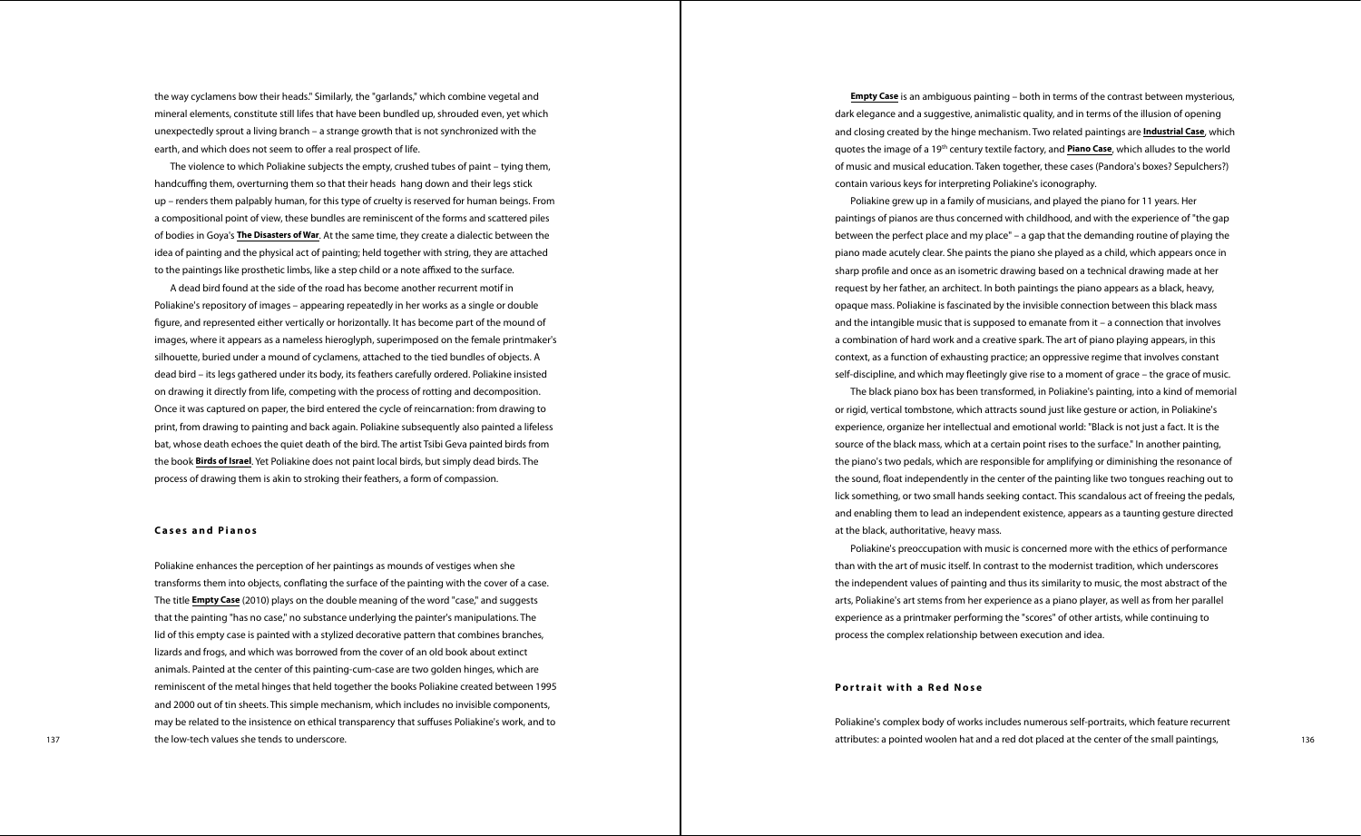the way cyclamens bow their heads." Similarly, the "garlands," which combine vegetal and mineral elements, constitute still lifes that have been bundled up, shrouded even, yet which unexpectedly sprout a living branch – a strange growth that is not synchronized with the earth, and which does not seem to offer a real prospect of life.

The violence to which Poliakine subjects the empty, crushed tubes of paint – tying them, handcufng them, overturning them so that their heads hang down and their legs stick up – renders them palpably human, for this type of cruelty is reserved for human beings. From a compositional point of view, these bundles are reminiscent of the forms and scattered piles of bodies in Goya's **The Disasters of War**. At the same time, they create a dialectic between the idea of painting and the physical act of painting; held together with string, they are attached to the paintings like prosthetic limbs, like a step child or a note affixed to the surface.

137 136 the low-tech values she tends to underscore. 136 the small paintings, the small paintings, the small paintings, the small paintings, the small paintings, the small paintings, the small paintings, the small painting Poliakine enhances the perception of her paintings as mounds of vestiges when she transforms them into objects, confating the surface of the painting with the cover of a case. The title **Empty Case** (2010) plays on the double meaning of the word "case," and suggests that the painting "has no case," no substance underlying the painter's manipulations. The lid of this empty case is painted with a stylized decorative pattern that combines branches, lizards and frogs, and which was borrowed from the cover of an old book about extinct animals. Painted at the center of this painting-cum-case are two golden hinges, which are reminiscent of the metal hinges that held together the books Poliakine created between 1995 and 2000 out of tin sheets. This simple mechanism, which includes no invisible components, may be related to the insistence on ethical transparency that sufuses Poliakine's work, and to the low-tech values she tends to underscore.

A dead bird found at the side of the road has become another recurrent motif in Poliakine's repository of images – appearing repeatedly in her works as a single or double fgure, and represented either vertically or horizontally. It has become part of the mound of images, where it appears as a nameless hieroglyph, superimposed on the female printmaker's silhouette, buried under a mound of cyclamens, attached to the tied bundles of objects. A dead bird – its legs gathered under its body, its feathers carefully ordered. Poliakine insisted on drawing it directly from life, competing with the process of rotting and decomposition. Once it was captured on paper, the bird entered the cycle of reincarnation: from drawing to print, from drawing to painting and back again. Poliakine subsequently also painted a lifeless bat, whose death echoes the quiet death of the bird. The artist Tsibi Geva painted birds from the book **Birds of Israel**. Yet Poliakine does not paint local birds, but simply dead birds. The process of drawing them is akin to stroking their feathers, a form of compassion.

### **Cases and Pianos**

**Empty Case** is an ambiguous painting – both in terms of the contrast between mysterious, dark elegance and a suggestive, animalistic quality, and in terms of the illusion of opening and closing created by the hinge mechanism. Two related paintings are **Industrial Case**, which quotes the image of a 19th century textile factory, and **Piano Case**, which alludes to the world of music and musical education. Taken together, these cases (Pandora's boxes? Sepulchers?)

# contain various keys for interpreting Poliakine's iconography.

Poliakine grew up in a family of musicians, and played the piano for 11 years. Her paintings of pianos are thus concerned with childhood, and with the experience of "the gap between the perfect place and my place" – a gap that the demanding routine of playing the piano made acutely clear. She paints the piano she played as a child, which appears once in sharp profle and once as an isometric drawing based on a technical drawing made at her request by her father, an architect. In both paintings the piano appears as a black, heavy, opaque mass. Poliakine is fascinated by the invisible connection between this black mass and the intangible music that is supposed to emanate from it – a connection that involves a combination of hard work and a creative spark. The art of piano playing appears, in this context, as a function of exhausting practice; an oppressive regime that involves constant self-discipline, and which may feetingly give rise to a moment of grace – the grace of music. The black piano box has been transformed, in Poliakine's painting, into a kind of memorial or rigid, vertical tombstone, which attracts sound just like gesture or action, in Poliakine's experience, organize her intellectual and emotional world: "Black is not just a fact. It is the source of the black mass, which at a certain point rises to the surface." In another painting, the piano's two pedals, which are responsible for amplifying or diminishing the resonance of the sound, foat independently in the center of the painting like two tongues reaching out to lick something, or two small hands seeking contact. This scandalous act of freeing the pedals, and enabling them to lead an independent existence, appears as a taunting gesture directed

at the black, authoritative, heavy mass.

Poliakine's preoccupation with music is concerned more with the ethics of performance than with the art of music itself. In contrast to the modernist tradition, which underscores the independent values of painting and thus its similarity to music, the most abstract of the arts, Poliakine's art stems from her experience as a piano player, as well as from her parallel experience as a printmaker performing the "scores" of other artists, while continuing to process the complex relationship between execution and idea.

### **Portrait with a Red Nose**

Poliakine's complex body of works includes numerous self-portraits, which feature recurrent